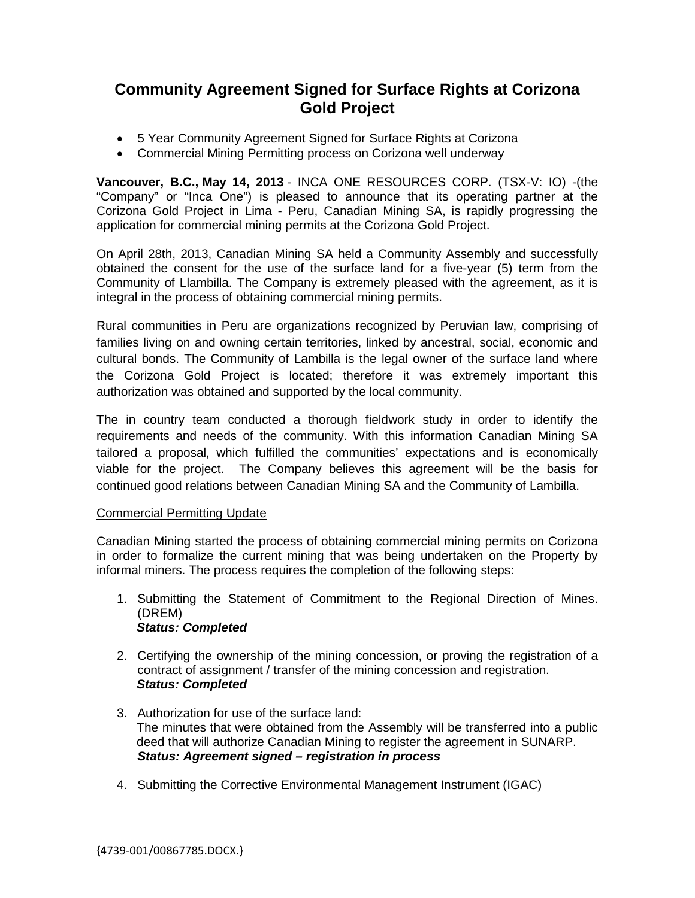# **Community Agreement Signed for Surface Rights at Corizona Gold Project**

- 5 Year Community Agreement Signed for Surface Rights at Corizona
- Commercial Mining Permitting process on Corizona well underway

**Vancouver, B.C., May 14, 2013** - INCA ONE RESOURCES CORP. (TSX-V: IO) -(the "Company" or "Inca One") is pleased to announce that its operating partner at the Corizona Gold Project in Lima - Peru, Canadian Mining SA, is rapidly progressing the application for commercial mining permits at the Corizona Gold Project.

On April 28th, 2013, Canadian Mining SA held a Community Assembly and successfully obtained the consent for the use of the surface land for a five-year (5) term from the Community of Llambilla. The Company is extremely pleased with the agreement, as it is integral in the process of obtaining commercial mining permits.

Rural communities in Peru are organizations recognized by Peruvian law, comprising of families living on and owning certain territories, linked by ancestral, social, economic and cultural bonds. The Community of Lambilla is the legal owner of the surface land where the Corizona Gold Project is located; therefore it was extremely important this authorization was obtained and supported by the local community.

The in country team conducted a thorough fieldwork study in order to identify the requirements and needs of the community. With this information Canadian Mining SA tailored a proposal, which fulfilled the communities' expectations and is economically viable for the project. The Company believes this agreement will be the basis for continued good relations between Canadian Mining SA and the Community of Lambilla.

## Commercial Permitting Update

Canadian Mining started the process of obtaining commercial mining permits on Corizona in order to formalize the current mining that was being undertaken on the Property by informal miners. The process requires the completion of the following steps:

- 1. Submitting the Statement of Commitment to the Regional Direction of Mines. (DREM) *Status: Completed*
- 2. Certifying the ownership of the mining concession, or proving the registration of a contract of assignment / transfer of the mining concession and registration. *Status: Completed*
- 3. Authorization for use of the surface land: The minutes that were obtained from the Assembly will be transferred into a public deed that will authorize Canadian Mining to register the agreement in SUNARP. *Status: Agreement signed – registration in process*
- 4. Submitting the Corrective Environmental Management Instrument (IGAC)